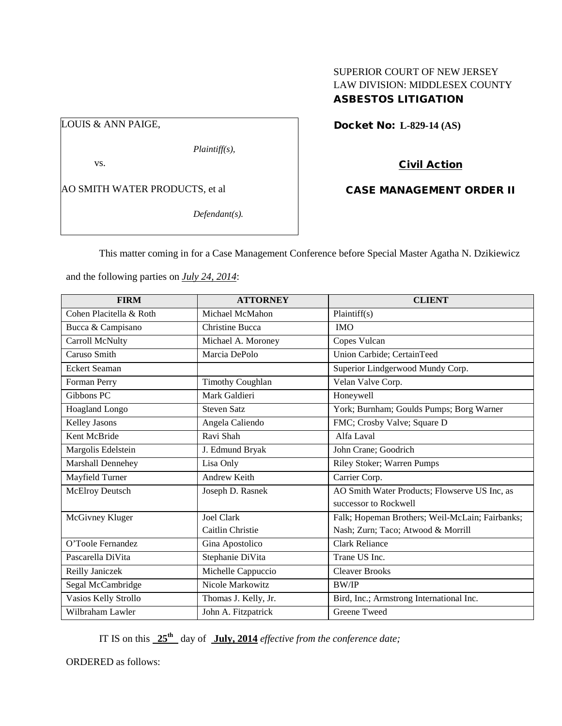# SUPERIOR COURT OF NEW JERSEY LAW DIVISION: MIDDLESEX COUNTY ASBESTOS LITIGATION

LOUIS & ANN PAIGE,

*Plaintiff(s),*

vs.

AO SMITH WATER PRODUCTS, et al

*Defendant(s).*

Docket No: **L-829-14 (AS)** 

Civil Action

CASE MANAGEMENT ORDER II

This matter coming in for a Case Management Conference before Special Master Agatha N. Dzikiewicz

and the following parties on *July 24, 2014*:

| <b>FIRM</b>             | <b>ATTORNEY</b>         | <b>CLIENT</b>                                   |
|-------------------------|-------------------------|-------------------------------------------------|
| Cohen Placitella & Roth | Michael McMahon         | Plaintiff(s)                                    |
| Bucca & Campisano       | <b>Christine Bucca</b>  | <b>IMO</b>                                      |
| Carroll McNulty         | Michael A. Moroney      | Copes Vulcan                                    |
| Caruso Smith            | Marcia DePolo           | Union Carbide; CertainTeed                      |
| <b>Eckert Seaman</b>    |                         | Superior Lindgerwood Mundy Corp.                |
| Forman Perry            | <b>Timothy Coughlan</b> | Velan Valve Corp.                               |
| Gibbons PC              | Mark Galdieri           | Honeywell                                       |
| Hoagland Longo          | <b>Steven Satz</b>      | York; Burnham; Goulds Pumps; Borg Warner        |
| Kelley Jasons           | Angela Caliendo         | FMC; Crosby Valve; Square D                     |
| Kent McBride            | Ravi Shah               | Alfa Laval                                      |
| Margolis Edelstein      | J. Edmund Bryak         | John Crane; Goodrich                            |
| Marshall Dennehey       | Lisa Only               | Riley Stoker; Warren Pumps                      |
| Mayfield Turner         | <b>Andrew Keith</b>     | Carrier Corp.                                   |
| <b>McElroy Deutsch</b>  | Joseph D. Rasnek        | AO Smith Water Products; Flowserve US Inc, as   |
|                         |                         | successor to Rockwell                           |
| McGivney Kluger         | <b>Joel Clark</b>       | Falk; Hopeman Brothers; Weil-McLain; Fairbanks; |
|                         | Caitlin Christie        | Nash; Zurn; Taco; Atwood & Morrill              |
| O'Toole Fernandez       | Gina Apostolico         | <b>Clark Reliance</b>                           |
| Pascarella DiVita       | Stephanie DiVita        | Trane US Inc.                                   |
| Reilly Janiczek         | Michelle Cappuccio      | <b>Cleaver Brooks</b>                           |
| Segal McCambridge       | Nicole Markowitz        | <b>BW/IP</b>                                    |
| Vasios Kelly Strollo    | Thomas J. Kelly, Jr.    | Bird, Inc.; Armstrong International Inc.        |
| Wilbraham Lawler        | John A. Fitzpatrick     | Greene Tweed                                    |

IT IS on this **25th** day of **July, 2014** *effective from the conference date;*

ORDERED as follows: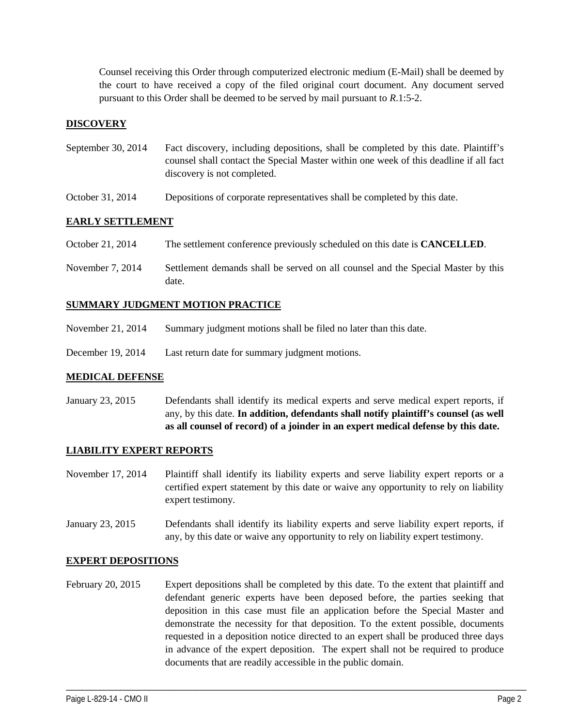Counsel receiving this Order through computerized electronic medium (E-Mail) shall be deemed by the court to have received a copy of the filed original court document. Any document served pursuant to this Order shall be deemed to be served by mail pursuant to *R*.1:5-2.

## **DISCOVERY**

- September 30, 2014 Fact discovery, including depositions, shall be completed by this date. Plaintiff's counsel shall contact the Special Master within one week of this deadline if all fact discovery is not completed.
- October 31, 2014 Depositions of corporate representatives shall be completed by this date.

### **EARLY SETTLEMENT**

- October 21, 2014 The settlement conference previously scheduled on this date is **CANCELLED**.
- November 7, 2014 Settlement demands shall be served on all counsel and the Special Master by this date.

### **SUMMARY JUDGMENT MOTION PRACTICE**

- November 21, 2014 Summary judgment motions shall be filed no later than this date.
- December 19, 2014 Last return date for summary judgment motions.

#### **MEDICAL DEFENSE**

January 23, 2015 Defendants shall identify its medical experts and serve medical expert reports, if any, by this date. **In addition, defendants shall notify plaintiff's counsel (as well as all counsel of record) of a joinder in an expert medical defense by this date.**

### **LIABILITY EXPERT REPORTS**

- November 17, 2014 Plaintiff shall identify its liability experts and serve liability expert reports or a certified expert statement by this date or waive any opportunity to rely on liability expert testimony.
- January 23, 2015 Defendants shall identify its liability experts and serve liability expert reports, if any, by this date or waive any opportunity to rely on liability expert testimony.

#### **EXPERT DEPOSITIONS**

February 20, 2015 Expert depositions shall be completed by this date. To the extent that plaintiff and defendant generic experts have been deposed before, the parties seeking that deposition in this case must file an application before the Special Master and demonstrate the necessity for that deposition. To the extent possible, documents requested in a deposition notice directed to an expert shall be produced three days in advance of the expert deposition. The expert shall not be required to produce documents that are readily accessible in the public domain.

\_\_\_\_\_\_\_\_\_\_\_\_\_\_\_\_\_\_\_\_\_\_\_\_\_\_\_\_\_\_\_\_\_\_\_\_\_\_\_\_\_\_\_\_\_\_\_\_\_\_\_\_\_\_\_\_\_\_\_\_\_\_\_\_\_\_\_\_\_\_\_\_\_\_\_\_\_\_\_\_\_\_\_\_\_\_\_\_\_\_\_\_\_\_\_\_\_\_\_\_\_\_\_\_\_\_\_\_\_\_